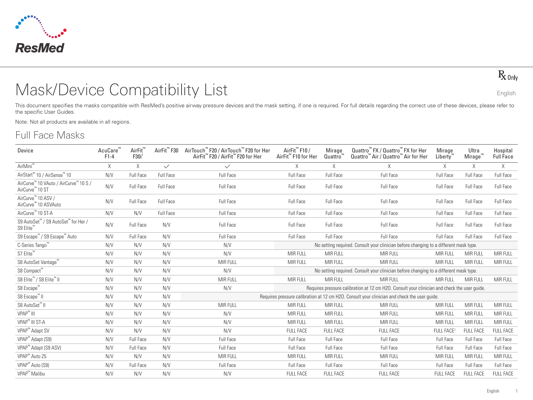

 $R_{x0nly}$ 

# Mask/Device Compatibility List English

This document specifies the masks compatible with ResMed's positive airway pressure devices and the mask setting, if one is required. For full details regarding the correct use of these devices, please refer to the specific User Guides.

Note: Not all products are available in all regions.

# Full Face Masks

| Device                                                               | AcuCare<br>$F1-4$ | AirFit <sup>™</sup><br>F30i | AirFit <sup>™</sup> F30 | AirTouch™ F20 / AirTouch™ F20 for Her<br>AirFit <sup>™</sup> F20 / AirFit <sup>™</sup> F20 for Her | AirFit <sup>™</sup> F10 /<br>AirFit <sup>™</sup> F10 for Her | Mirage<br>Quattro | Quattro <sup>™</sup> FX / Quattro <sup>™</sup> FX for Her<br>Quattro <sup>™</sup> Air / Quattro <sup>™</sup> Air for Her | Mirage<br><b>Liberty</b> | Ultra<br>Mirage" | Hospital<br><b>Full Face</b> |
|----------------------------------------------------------------------|-------------------|-----------------------------|-------------------------|----------------------------------------------------------------------------------------------------|--------------------------------------------------------------|-------------------|--------------------------------------------------------------------------------------------------------------------------|--------------------------|------------------|------------------------------|
| AirMini <sup>™</sup>                                                 | X                 | $\times$                    | $\checkmark$            | $\checkmark$                                                                                       | X                                                            | $\times$          | X                                                                                                                        | X                        | X                | $\mathsf X$                  |
| AirStart <sup>™</sup> 10 / AirSense™ 10                              | N/V               | Full Face                   | Full Face               | Full Face                                                                                          | Full Face                                                    | <b>Full Face</b>  | Full Face                                                                                                                | Full Face                | Full Face        | Full Face                    |
| AirCurve™ 10 VAuto / AirCurve™ 10 S /<br>AirCurve <sup>™</sup> 10 ST | N/V               | Full Face                   | Full Face               | Full Face                                                                                          | Full Face                                                    | Full Face         | Full Face                                                                                                                | Full Face                | Full Face        | Full Face                    |
| AirCurve <sup>™</sup> 10 ASV /<br>AirCurve™ 10 ASVAuto               | N/V               | Full Face                   | Full Face               | Full Face                                                                                          | Full Face                                                    | Full Face         | Full Face                                                                                                                | Full Face                | Full Face        | Full Face                    |
| AirCurve <sup>™</sup> 10 ST-A                                        | N/V               | N/V                         | Full Face               | Full Face                                                                                          | Full Face                                                    | Full Face         | Full Face                                                                                                                | Full Face                | Full Face        | Full Face                    |
| S9 AutoSet™ / S9 AutoSet™ for Her /<br>S9 Elite <sup>"</sup>         | N/V               | Full Face                   | N/V                     | <b>Full Face</b>                                                                                   | <b>Full Face</b>                                             | Full Face         | <b>Full Face</b>                                                                                                         | Full Face                | Full Face        | <b>Full Face</b>             |
| S9 Escape <sup>™</sup> / S9 Escape <sup>™</sup> Auto                 | N/V               | Full Face                   | N/V                     | <b>Full Face</b>                                                                                   | <b>Full Face</b>                                             | Full Face         | Full Face                                                                                                                | <b>Full Face</b>         | Full Face        | Full Face                    |
| C-Series Tango <sup>"</sup>                                          | N/V               | N/V                         | N/V                     | N/V                                                                                                |                                                              |                   | No setting required. Consult your clinician before changing to a different mask type.                                    |                          |                  |                              |
| S7 Elite <sup>™</sup>                                                | N/V               | N/V                         | N/V                     | N/V                                                                                                | MIR FULL                                                     | <b>MIR FULL</b>   | MIR FULL                                                                                                                 | MIR FULL                 | MIR FULL         | MIR FULL                     |
| S8 AutoSet Vantage™                                                  | N/V               | N/V                         | N/V                     | MIR FULL                                                                                           | MIR FULL                                                     | <b>MIR FULL</b>   | MIR FULL                                                                                                                 | MIR FULL                 | MIR FULL         | MIR FULL                     |
| S8 Compact™                                                          | N/V               | N/V                         | N/V                     | N/V                                                                                                |                                                              |                   | No setting required. Consult your clinician before changing to a different mask type.                                    |                          |                  |                              |
| S8 Elite <sup>™</sup> / S8 Elite <sup>™</sup> II                     | N/V               | N/V                         | N/V                     | <b>MIR FULL</b>                                                                                    | MIR FULL                                                     | <b>MIR FULL</b>   | MIR FULL                                                                                                                 | MIR FULL                 | MIR FULL         | MIR FULL                     |
| S8 Escape <sup>™</sup>                                               | N/V               | N/V                         | N/V                     | N/V                                                                                                |                                                              |                   | Requires pressure calibration at 12 cm H2O. Consult your clinician and check the user quide.                             |                          |                  |                              |
| S8 Escape <sup>™</sup> II                                            | N/V               | N/V                         | N/V                     |                                                                                                    |                                                              |                   | Requires pressure calibration at 12 cm H2O. Consult your clinician and check the user quide.                             |                          |                  |                              |
| S8 AutoSet™ II                                                       | N/V               | N/V                         | N/V                     | <b>MIR FULL</b>                                                                                    | <b>MIR FULL</b>                                              | <b>MIR FULL</b>   | <b>MIR FULL</b>                                                                                                          | <b>MIR FULL</b>          | MIR FULL         | MIR FULL                     |
| VPAP <sup>™</sup> III                                                | N/V               | N/V                         | N/V                     | N/V                                                                                                | MIR FULL                                                     | MIR FULL          | MIR FULL                                                                                                                 | MIR FULL                 | MIR FULL         | MIR FULL                     |
| VPAP <sup>™</sup> III ST-A                                           | N/V               | N/V                         | N/V                     | N/V                                                                                                | <b>MIR FULL</b>                                              | MIR FULL          | MIR FULL                                                                                                                 | MIR FULL                 | MIR FULL         | MIR FULL                     |
| VPAP <sup>™</sup> Adapt SV                                           | N/V               | N/V                         | N/V                     | N/V                                                                                                | <b>FULL FACE</b>                                             | <b>FULL FACE</b>  | <b>FULL FACE</b>                                                                                                         | FULL FACE <sup>1</sup>   | <b>FULL FACE</b> | <b>FULL FACE</b>             |
| VPAP <sup>™</sup> Adapt (S9)                                         | N/V               | Full Face                   | N/V                     | Full Face                                                                                          | Full Face                                                    | Full Face         | Full Face                                                                                                                | <b>Full Face</b>         | Full Face        | <b>Full Face</b>             |
| VPAP <sup>™</sup> Adapt (S9 ASV)                                     | N/V               | <b>Full Face</b>            | N/V                     | <b>Full Face</b>                                                                                   | <b>Full Face</b>                                             | Full Face         | Full Face                                                                                                                | Full Face                | Full Face        | Full Face                    |
| VPAP <sup>™</sup> Auto 25                                            | N/V               | N/V                         | N/V                     | MIR FULL                                                                                           | <b>MIR FULL</b>                                              | MIR FULL          | MIR FULL                                                                                                                 | MIR FULL                 | <b>MIR FULL</b>  | MIR FULL                     |
| VPAP <sup>™</sup> Auto (S9)                                          | N/V               | <b>Full Face</b>            | N/V                     | <b>Full Face</b>                                                                                   | Full Face                                                    | Full Face         | Full Face                                                                                                                | Full Face                | Full Face        | Full Face                    |
| VPAP <sup>™</sup> Malibu                                             | N/V               | N/V                         | N/V                     | N/V                                                                                                | <b>FULL FACE</b>                                             | <b>FULL FACE</b>  | <b>FULL FACE</b>                                                                                                         | <b>FULL FACE</b>         | <b>FULL FACE</b> | <b>FULL FACE</b>             |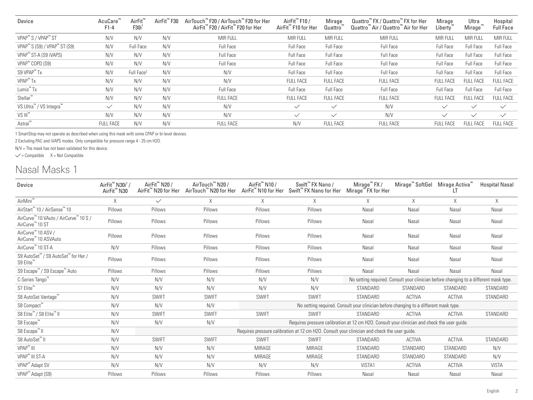| Device                                               | AcuCare"<br>$F1-4$ | AirFit<br>F30i         | AirFit <sup>"</sup> F30 | AirTouch™ F20 / AirTouch™ F20 for Her<br>AirFit™ F20 / AirFit™ F20 for Her | AirFit <sup>™</sup> F10 /<br>AirFit <sup>™</sup> F10 for Her | $M$ irage<br>Quattro | Quattro <sup>™</sup> FX / Quattro™ FX for Her<br>Quattro <sup>™</sup> Air / Quattro <sup>™</sup> Air for Her | Mirage<br>Liberty" | Ultra<br>Mirage <sup>'</sup> | Hospital<br><b>Full Face</b> |
|------------------------------------------------------|--------------------|------------------------|-------------------------|----------------------------------------------------------------------------|--------------------------------------------------------------|----------------------|--------------------------------------------------------------------------------------------------------------|--------------------|------------------------------|------------------------------|
| VPAP <sup>™</sup> S / VPAP <sup>™</sup> ST           | N/V                | N/V                    | N/V                     | <b>MIR FULL</b>                                                            | MIR FULL                                                     | <b>MIR FULL</b>      | <b>MIR FULL</b>                                                                                              | MIR FULL           | <b>MIR FULL</b>              | <b>MIR FULL</b>              |
| VPAP <sup>™</sup> S (S9) / VPAP <sup>™</sup> ST (S9) | N/V                | Full Face              | N/V                     | Full Face                                                                  | Full Face                                                    | Full Face            | Full Face                                                                                                    | Full Face          | Full Face                    | Full Face                    |
| VPAP <sup>™</sup> ST-A (S9 iVAPS)                    | N/V                | N/V                    | N/V                     | Full Face                                                                  | Full Face                                                    | Full Face            | Full Face                                                                                                    | Full Face          | Full Face                    | Full Face                    |
| VPAP <sup>™</sup> COPD (S9)                          | N/V                | N/V                    | N/V                     | Full Face                                                                  | Full Face                                                    | Full Face            | Full Face                                                                                                    | Full Face          | Full Face                    | Full Face                    |
| S9 VPAP <sup>™</sup> Tx                              | N/V                | Full Face <sup>2</sup> | N/V                     | N/V                                                                        | Full Face                                                    | Full Face            | Full Face                                                                                                    | Full Face          | Full Face                    | Full Face                    |
| VPAP <sup>™</sup> Tx                                 | N/V                | N/V                    | N/V                     | N/V                                                                        | <b>FULL FACE</b>                                             | <b>FULL FACE</b>     | <b>FULL FACE</b>                                                                                             | <b>FULL FACE</b>   | <b>FULL FACE</b>             | <b>FULL FACE</b>             |
| Lumis <sup>™</sup> Tx                                | N/V                | N/V                    | N/V                     | Full Face                                                                  | Full Face                                                    | Full Face            | Full Face                                                                                                    | Full Face          | Full Face                    | Full Face                    |
| Stellar <sup>™</sup>                                 | N/V                | N/V                    | N/V                     | <b>FULL FACE</b>                                                           | <b>FULL FACE</b>                                             | <b>FULL FACE</b>     | <b>FULL FACE</b>                                                                                             | <b>FULL FACE</b>   | <b>FULL FACE</b>             | <b>FULL FACE</b>             |
| VS Ultra <sup>™</sup> / VS Integra <sup>™</sup>      | $\checkmark$       | N/V                    | N/V                     | N/V                                                                        | $\checkmark$                                                 | $\checkmark$         | N/V                                                                                                          | $\checkmark$       | $\checkmark$                 | $\checkmark$                 |
| $VS$ $III^{\prime\prime}$                            | N/V                | N/V                    | N/V                     | N/V                                                                        | $\checkmark$                                                 | $\checkmark$         | N/V                                                                                                          | $\checkmark$       | $\checkmark$                 | $\checkmark$                 |
| Astral <sup>™</sup>                                  | <b>FULL FACE</b>   | N/V                    | N/V                     | <b>FULL FACE</b>                                                           | N/V                                                          | <b>FULL FACE</b>     | <b>FULL FACE</b>                                                                                             | <b>FULL FACE</b>   | <b>FULL FACE</b>             | <b>FULL FACE</b>             |

1 SmartStop may not operate as described when using this mask with some CPAP or bi-level devices.

2 Excluding PAC and iVAPS modes. Only compatible for pressure range 4 - 25 cm H2O.

N/V = The mask has not been validated for this device.

 $\checkmark$  = Compatible  $X$  = Not Compatible

### Nasal Masks 1

| Device                                                               | AirFit <sup>™</sup> N30i <sup>1</sup> /<br>AirFit <sup>™</sup> N30 | AirFit <sup>™</sup> N20 /<br>AirFit <sup>™</sup> N20 for Her | AirTouch™ N20 /<br>AirTouch™ N20 for Her | AirFit <sup>™</sup> N10 / | Swift <sup>™</sup> FX Nano /<br>AirFit <sup>™</sup> N10 for Her Swift <sup>™</sup> FX Nano for Her Mirage <sup>™</sup> FX for Her | $M$ irage <sup>"</sup> FX /                                                           | Mirage <sup>"</sup> SoftGel | Mirage Activa <sup>"</sup> | <b>Hospital Nasal</b> |
|----------------------------------------------------------------------|--------------------------------------------------------------------|--------------------------------------------------------------|------------------------------------------|---------------------------|-----------------------------------------------------------------------------------------------------------------------------------|---------------------------------------------------------------------------------------|-----------------------------|----------------------------|-----------------------|
| AirMini <sup>™</sup>                                                 |                                                                    | $\checkmark$                                                 | X                                        | X                         | X                                                                                                                                 | X                                                                                     | X                           | X                          | X                     |
| AirStart™ 10 / AirSense™ 10                                          | Pillows                                                            | Pillows                                                      | Pillows                                  | Pillows                   | Pillows                                                                                                                           | Nasal                                                                                 | Nasal                       | Nasal                      | Nasal                 |
| AirCurve™ 10 VAuto / AirCurve™ 10 S /<br>AirCurve <sup>™</sup> 10 ST | Pillows                                                            | Pillows                                                      | Pillows                                  | Pillows                   | Pillows                                                                                                                           | Nasal                                                                                 | Nasal                       | Nasal                      | Nasal                 |
| AirCurve <sup>™</sup> 10 ASV /<br>AirCurve™ 10 ASVAuto               | Pillows                                                            | Pillows                                                      | Pillows                                  | Pillows                   | Pillows                                                                                                                           | Nasal                                                                                 | Nasal                       | Nasal                      | Nasal                 |
| AirCurve <sup>™</sup> 10 ST-A                                        | N/V                                                                | Pillows                                                      | Pillows                                  | Pillows                   | Pillows                                                                                                                           | Nasal                                                                                 | Nasal                       | Nasal                      | Nasal                 |
| S9 AutoSet™ / S9 AutoSet™ for Her /<br>S9 Elite <sup>"</sup>         | Pillows                                                            | Pillows                                                      | Pillows                                  | Pillows                   | Pillows                                                                                                                           | Nasal                                                                                 | Nasal                       | Nasal                      | Nasal                 |
| S9 Escape™ / S9 Escape™ Auto                                         | Pillows                                                            | Pillows                                                      | Pillows                                  | Pillows                   | Pillows                                                                                                                           | Nasal                                                                                 | Nasal                       | Nasal                      | Nasal                 |
| C-Series Tango <sup>™</sup>                                          | N/V                                                                | N/V                                                          | N/V                                      | N/V                       | N/V                                                                                                                               | No setting required. Consult your clinician before changing to a different mask type. |                             |                            |                       |
| S7 Elite™                                                            | N/V                                                                | N/V                                                          | N/V                                      | N/V                       | N/V                                                                                                                               | STANDARD                                                                              | STANDARD                    | STANDARD                   | STANDARD              |
| S8 AutoSet Vantage™                                                  | N/V                                                                | <b>SWIFT</b>                                                 | <b>SWIFT</b>                             | <b>SWIFT</b>              | <b>SWIFT</b>                                                                                                                      | STANDARD                                                                              | <b>ACTIVA</b>               | <b>ACTIVA</b>              | STANDARD              |
| S8 Compact™                                                          | N/V                                                                | N/V                                                          | N/V                                      |                           |                                                                                                                                   | No setting required. Consult your clinician before changing to a different mask type. |                             |                            |                       |
| S8 Elite <sup>™</sup> / S8 Elite <sup>™</sup> II                     | N/V                                                                | <b>SWIFT</b>                                                 | <b>SWIFT</b>                             | <b>SWIFT</b>              | <b>SWIFT</b>                                                                                                                      | STANDARD                                                                              | <b>ACTIVA</b>               | <b>ACTIVA</b>              | STANDARD              |
| S8 Escape <sup>™</sup>                                               | N/V                                                                | N/V                                                          | N/V                                      |                           | Requires pressure calibration at 12 cm H2O. Consult your clinician and check the user guide.                                      |                                                                                       |                             |                            |                       |
| S8 Escape <sup>™</sup> II                                            | N/V                                                                |                                                              |                                          |                           | Requires pressure calibration at 12 cm H2O. Consult your clinician and check the user guide.                                      |                                                                                       |                             |                            |                       |
| S8 AutoSet <sup>™</sup> II                                           | N/V                                                                | <b>SWIFT</b>                                                 | <b>SWIFT</b>                             | <b>SWIFT</b>              | <b>SWIFT</b>                                                                                                                      | STANDARD                                                                              | <b>ACTIVA</b>               | <b>ACTIVA</b>              | STANDARD              |
| VPAP <sup>™</sup> III                                                | N/V                                                                | N/V                                                          | N/V                                      | <b>MIRAGE</b>             | <b>MIRAGE</b>                                                                                                                     | STANDARD                                                                              | STANDARD                    | STANDARD                   | N/V                   |
| VPAP <sup>™</sup> III ST-A                                           | N/V                                                                | N/V                                                          | N/V                                      | MIRAGE                    | <b>MIRAGE</b>                                                                                                                     | STANDARD                                                                              | STANDARD                    | STANDARD                   | N/V                   |
| VPAP <sup>™</sup> Adapt SV                                           | N/V                                                                | N/V                                                          | N/V                                      | N/V                       | N/V                                                                                                                               | VISTA1                                                                                | <b>ACTIVA</b>               | <b>ACTIVA</b>              | <b>VISTA</b>          |
| VPAP <sup>™</sup> Adapt (S9)                                         | Pillows                                                            | Pillows                                                      | Pillows                                  | Pillows                   | Pillows                                                                                                                           | Nasal                                                                                 | Nasal                       | Nasal                      | Nasal                 |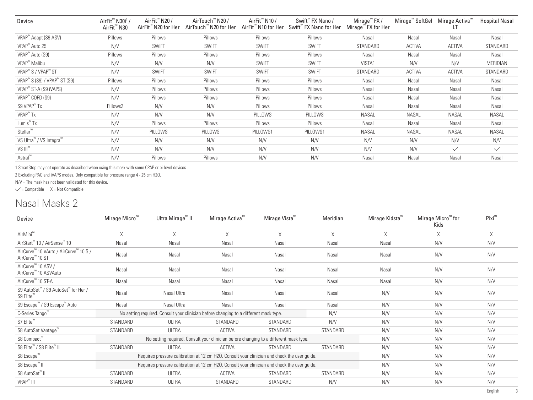| Device                                               | AirFit <sup>™</sup> N30i <sup>1</sup> /<br>AirFit <sup>™</sup> N30 | AirFit <sup>™</sup> N20 /<br>AirFit <sup>™</sup> N20 for Her | AirTouch™ N20 /<br>AirTouch™ N20 for Her | AirFit <sup>™</sup> N10 /<br>AirFit <sup>™</sup> N10 for Her | Swift <sup>™</sup> FX Nano /<br>Swift <sup>™</sup> FX Nano for Her | Mirage <sup>™</sup> FX /<br>Mirage <sup>™</sup> FX for Her | Mirage <sup>™</sup> SoftGel | Mirage Activa" | <b>Hospital Nasal</b> |
|------------------------------------------------------|--------------------------------------------------------------------|--------------------------------------------------------------|------------------------------------------|--------------------------------------------------------------|--------------------------------------------------------------------|------------------------------------------------------------|-----------------------------|----------------|-----------------------|
| VPAP <sup>™</sup> Adapt (S9 ASV)                     | Pillows                                                            | Pillows                                                      | Pillows                                  | Pillows                                                      | Pillows                                                            | Nasal                                                      | Nasal                       | Nasal          | Nasal                 |
| VPAP <sup>™</sup> Auto 25                            | N/V                                                                | <b>SWIFT</b>                                                 | <b>SWIFT</b>                             | <b>SWIFT</b>                                                 | <b>SWIFT</b>                                                       | STANDARD                                                   | <b>ACTIVA</b>               | <b>ACTIVA</b>  | STANDARD              |
| VPAP <sup>™</sup> Auto (S9)                          | Pillows                                                            | Pillows                                                      | Pillows                                  | Pillows                                                      | Pillows                                                            | Nasal                                                      | Nasal                       | Nasal          | Nasal                 |
| VPAP <sup>™</sup> Malibu                             | N/V                                                                | N/V                                                          | N/V                                      | <b>SWIFT</b>                                                 | <b>SWIFT</b>                                                       | VISTA1                                                     | N/V                         | N/V            | MERIDIAN              |
| VPAP <sup>™</sup> S / VPAP <sup>™</sup> ST           | N/V                                                                | <b>SWIFT</b>                                                 | <b>SWIFT</b>                             | <b>SWIFT</b>                                                 | <b>SWIFT</b>                                                       | STANDARD                                                   | <b>ACTIVA</b>               | <b>ACTIVA</b>  | STANDARD              |
| VPAP <sup>™</sup> S (S9) / VPAP <sup>™</sup> ST (S9) | Pillows                                                            | Pillows                                                      | Pillows                                  | Pillows                                                      | Pillows                                                            | Nasal                                                      | Nasal                       | Nasal          | Nasal                 |
| VPAP <sup>™</sup> ST-A (S9 iVAPS)                    | N/V                                                                | Pillows                                                      | Pillows                                  | Pillows                                                      | Pillows                                                            | Nasal                                                      | Nasal                       | Nasal          | Nasal                 |
| VPAP <sup>™</sup> COPD (S9)                          | N/V                                                                | Pillows                                                      | Pillows                                  | Pillows                                                      | Pillows                                                            | Nasal                                                      | Nasal                       | Nasal          | Nasal                 |
| S9 VPAP <sup>™</sup> Tx                              | Pillows2                                                           | N/V                                                          | N/V                                      | Pillows                                                      | Pillows                                                            | Nasal                                                      | Nasal                       | Nasal          | Nasal                 |
| VPAP <sup>™</sup> Tx                                 | N/V                                                                | N/V                                                          | N/V                                      | PILLOWS                                                      | PILLOWS                                                            | <b>NASAL</b>                                               | NASAL                       | NASAL          | NASAL                 |
| Lumis <sup>™</sup> Tx                                | N/V                                                                | Pillows                                                      | Pillows                                  | Pillows                                                      | Pillows                                                            | Nasal                                                      | Nasal                       | Nasal          | Nasal                 |
| Stellar <sup>™</sup>                                 | N/V                                                                | PILLOWS                                                      | PILLOWS                                  | PILLOWS1                                                     | PILLOWS1                                                           | <b>NASAL</b>                                               | NASAL                       | NASAL          | NASAL                 |
| VS Ultra <sup>™</sup> / VS Integra <sup>™</sup>      | N/V                                                                | N/V                                                          | N/V                                      | N/V                                                          | N/V                                                                | N/V                                                        | N/V                         | N/V            | N/V                   |
| $VS$ $III^{\mathsf{m}}$                              | N/V                                                                | N/V                                                          | N/V                                      | N/V                                                          | N/V                                                                | N/V                                                        | N/V                         | $\checkmark$   | $\checkmark$          |
| Astral <sup>™</sup>                                  | N/V                                                                | Pillows                                                      | Pillows                                  | N/V                                                          | N/V                                                                | Nasal                                                      | Nasal                       | Nasal          | Nasal                 |

1 SmartStop may not operate as described when using this mask with some CPAP or bi-level devices.

2 Excluding PAC and iVAPS modes. Only compatible for pressure range 4 - 25 cm H2O.

N/V = The mask has not been validated for this device.

 $\checkmark$  = Compatible  $X = Not$  Compatible

#### Nasal Masks 2

| Device                                                                               | Mirage Micro <sup>"</sup> | Ultra Mirage <sup>™</sup> II                                                                 | Mirage Activa <sup>™</sup> | Mirage Vista <sup>™</sup> | Meridian | Mirage Kidsta <sup>™</sup> | Mirage Micro™ for<br>Kids | Pixi™ |
|--------------------------------------------------------------------------------------|---------------------------|----------------------------------------------------------------------------------------------|----------------------------|---------------------------|----------|----------------------------|---------------------------|-------|
| AirMini <sup>™</sup>                                                                 | X                         | $\times$                                                                                     | X                          | X                         | X        | X                          | X                         | X     |
| AirStart <sup>™</sup> 10 / AirSense™ 10                                              | Nasal                     | Nasal                                                                                        | Nasal                      | Nasal                     | Nasal    | Nasal                      | N/V                       | N/V   |
| AirCurve™ 10 VAuto / AirCurve™ 10 S /<br>AirCurve <sup>™</sup> 10 ST                 | Nasal                     | Nasal                                                                                        | Nasal                      | Nasal                     | Nasal    | Nasal                      | N/V                       | N/V   |
| AirCurve <sup>™</sup> 10 ASV /<br>AirCurve™ 10 ASVAuto                               | Nasal                     | Nasal                                                                                        | Nasal                      | Nasal                     | Nasal    | Nasal                      | N/V                       | N/V   |
| AirCurve™ 10 ST-A                                                                    | Nasal                     | Nasal                                                                                        | Nasal                      | Nasal                     | Nasal    | Nasal                      | N/V                       | N/V   |
| S9 AutoSet <sup>™</sup> / S9 AutoSet <sup>™</sup> for Her /<br>S9 Elite <sup>™</sup> | Nasal                     | Nasal Ultra                                                                                  | Nasal                      | Nasal                     | Nasal    | N/V                        | N/V                       | N/V   |
| S9 Escape™ / S9 Escape™ Auto                                                         | Nasal                     | Nasal Ultra                                                                                  | Nasal                      | Nasal                     | Nasal    | N/V                        | N/V                       | N/V   |
| C-Series Tango <sup>"</sup>                                                          |                           | No setting required. Consult your clinician before changing to a different mask type.        |                            |                           | N/V      | N/V                        | N/V                       | N/V   |
| S7 Elite <sup>™</sup>                                                                | STANDARD                  | <b>ULTRA</b>                                                                                 | STANDARD                   | STANDARD                  | N/V      | N/V                        | N/V                       | N/V   |
| S8 AutoSet Vantage™                                                                  | STANDARD                  | ULTRA                                                                                        | <b>ACTIVA</b>              | STANDARD                  | STANDARD | N/V                        | N/V                       | N/V   |
| S8 Compact™                                                                          |                           | No setting required. Consult your clinician before changing to a different mask type.        |                            |                           |          | N/V                        | N/V                       | N/V   |
| S8 Elite <sup>™</sup> / S8 Elite <sup>™</sup> II                                     | STANDARD                  | <b>ULTRA</b>                                                                                 | ACTIVA                     | STANDARD                  | STANDARD | N/V                        | N/V                       | N/V   |
| S8 Escape <sup>™</sup>                                                               |                           | Requires pressure calibration at 12 cm H2O. Consult your clinician and check the user guide. |                            |                           |          | N/V                        | N/V                       | N/V   |
| S8 Escape™ II                                                                        |                           | Requires pressure calibration at 12 cm H2O. Consult your clinician and check the user guide. |                            |                           |          | N/V                        | N/V                       | N/V   |
| S8 AutoSet™ II                                                                       | STANDARD                  | <b>ULTRA</b>                                                                                 | ACTIVA                     | STANDARD                  | STANDARD | N/V                        | N/V                       | N/V   |
| VPAP <sup>™</sup> III                                                                | STANDARD                  | ULTRA                                                                                        | STANDARD                   | STANDARD                  | N/V      | N/V                        | N/V                       | N/V   |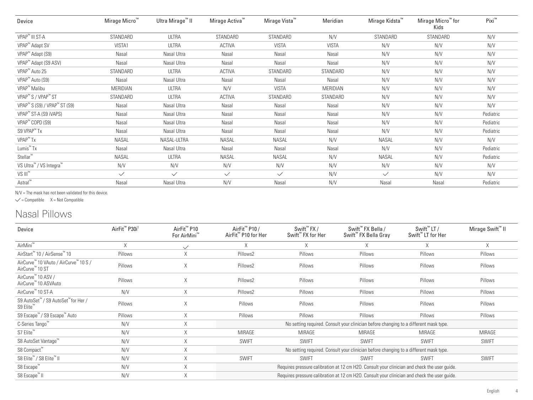| Device                                               | Mirage Micro <sup>™</sup> | Ultra Mirage™ II | Mirage Activa <sup>™</sup> | Mirage Vista <sup>™</sup> | Meridian     | Mirage Kidsta <sup>™</sup> | Mirage Micro™ for<br>Kids | Pixi™     |
|------------------------------------------------------|---------------------------|------------------|----------------------------|---------------------------|--------------|----------------------------|---------------------------|-----------|
| VPAP <sup>™</sup> III ST-A                           | STANDARD                  | <b>ULTRA</b>     | STANDARD                   | STANDARD                  | N/V          | STANDARD                   | STANDARD                  | N/V       |
| VPAP <sup>™</sup> Adapt SV                           | VISTA1                    | <b>ULTRA</b>     | <b>ACTIVA</b>              | <b>VISTA</b>              | <b>VISTA</b> | N/V                        | N/V                       | N/V       |
| VPAP <sup>™</sup> Adapt (S9)                         | Nasal                     | Nasal Ultra      | Nasal                      | Nasal                     | Nasal        | N/V                        | N/V                       | N/V       |
| VPAP <sup>™</sup> Adapt (S9 ASV)                     | Nasal                     | Nasal Ultra      | Nasal                      | Nasal                     | Nasal        | N/V                        | N/V                       | N/V       |
| VPAP <sup>™</sup> Auto 25                            | STANDARD                  | <b>ULTRA</b>     | <b>ACTIVA</b>              | STANDARD                  | STANDARD     | N/V                        | N/V                       | N/V       |
| VPAP <sup>™</sup> Auto (S9)                          | Nasal                     | Nasal Ultra      | Nasal                      | Nasal                     | Nasal        | N/V                        | N/V                       | N/V       |
| VPAP <sup>™</sup> Malibu                             | MERIDIAN                  | <b>ULTRA</b>     | N/V                        | <b>VISTA</b>              | MERIDIAN     | N/V                        | N/V                       | N/V       |
| VPAP <sup>™</sup> S / VPAP <sup>™</sup> ST           | STANDARD                  | ULTRA            | <b>ACTIVA</b>              | STANDARD                  | STANDARD     | N/V                        | N/V                       | N/V       |
| VPAP <sup>™</sup> S (S9) / VPAP <sup>™</sup> ST (S9) | Nasal                     | Nasal Ultra      | Nasal                      | Nasal                     | Nasal        | N/V                        | N/V                       | N/V       |
| VPAP <sup>™</sup> ST-A (S9 iVAPS)                    | Nasal                     | Nasal Ultra      | Nasal                      | Nasal                     | Nasal        | N/V                        | N/V                       | Pediatric |
| VPAP <sup>™</sup> COPD (S9)                          | Nasal                     | Nasal Ultra      | Nasal                      | Nasal                     | Nasal        | N/V                        | N/V                       | Pediatric |
| S9 VPAP <sup>™</sup> Tx                              | Nasal                     | Nasal Ultra      | Nasal                      | Nasal                     | Nasal        | N/V                        | N/V                       | Pediatric |
| VPAP <sup>™</sup> Tx                                 | NASAL                     | NASAL-ULTRA      | <b>NASAL</b>               | <b>NASAL</b>              | N/V          | <b>NASAL</b>               | N/V                       | N/V       |
| Lumis <sup>™</sup> Tx                                | Nasal                     | Nasal Ultra      | Nasal                      | Nasal                     | Nasal        | N/V                        | N/V                       | Pediatric |
| Stellar <sup>™</sup>                                 | NASAL                     | <b>ULTRA</b>     | <b>NASAL</b>               | <b>NASAL</b>              | N/V          | <b>NASAL</b>               | N/V                       | Pediatric |
| VS Ultra <sup>™</sup> / VS Integra™                  | N/V                       | N/V              | N/V                        | N/V                       | N/V          | N/V                        | N/V                       | N/V       |
| $VS$ $III^{\infty}$                                  | $\checkmark$              | $\checkmark$     | $\checkmark$               | $\checkmark$              | N/V          | $\checkmark$               | N/V                       | N/V       |
| Astral <sup>™</sup>                                  | Nasal                     | Nasal Ultra      | N/V                        | Nasal                     | N/V          | Nasal                      | Nasal                     | Pediatric |

 $N/V$  = The mask has not been validated for this device.

 $\checkmark$  = Compatible  $X = Not$  Compatible

# Nasal Pillows

| Device                                                               | AirFit <sup>™</sup> P30i <sup>1</sup> | AirFit <sup>™</sup> P10<br>For AirMini <sup>™</sup> | AirFit <sup>™</sup> P10 /<br>AirFit <sup>™</sup> P10 for Her | Swift <sup>™</sup> FX /<br>Swift <sup>™</sup> FX for Her | Swift <sup>™</sup> FX Bella /<br>Swift <sup>™</sup> FX Bella Gray                            | Swift <sup>™</sup> LT /<br>Swift <sup>™</sup> LT for Her | Mirage Swift <sup>™</sup> II |
|----------------------------------------------------------------------|---------------------------------------|-----------------------------------------------------|--------------------------------------------------------------|----------------------------------------------------------|----------------------------------------------------------------------------------------------|----------------------------------------------------------|------------------------------|
| AirMini <sup>™</sup>                                                 | X                                     | $\checkmark$                                        | X                                                            | Χ                                                        | X                                                                                            | A                                                        | X                            |
| AirStart™ 10 / AirSense™ 10                                          | Pillows                               | X                                                   | Pillows2                                                     | Pillows                                                  | Pillows                                                                                      | Pillows                                                  | Pillows                      |
| AirCurve™ 10 VAuto / AirCurve™ 10 S /<br>AirCurve <sup>"</sup> 10 ST | Pillows                               | X                                                   | Pillows2                                                     | Pillows                                                  | Pillows                                                                                      | Pillows                                                  | Pillows                      |
| AirCurve <sup>™</sup> 10 ASV /<br>AirCurve™ 10 ASVAuto               | Pillows                               | X                                                   | Pillows2                                                     | Pillows                                                  | Pillows                                                                                      | Pillows                                                  | Pillows                      |
| AirCurve <sup>™</sup> 10 ST-A                                        | N/V                                   | X                                                   | Pillows2                                                     | Pillows                                                  | Pillows                                                                                      | Pillows                                                  | Pillows                      |
| S9 AutoSet™ / S9 AutoSet™ for Her /<br>S9 Elite <sup>"</sup>         | Pillows                               | X                                                   | Pillows                                                      | Pillows                                                  | Pillows                                                                                      | Pillows                                                  | Pillows                      |
| S9 Escape <sup>™</sup> / S9 Escape <sup>™</sup> Auto                 | Pillows                               | X                                                   | Pillows                                                      | Pillows                                                  | Pillows                                                                                      | Pillows                                                  | Pillows                      |
| C-Series Tango <sup>™</sup>                                          | N/V                                   | X                                                   |                                                              |                                                          | No setting required. Consult your clinician before changing to a different mask type.        |                                                          |                              |
| S7 Elite <sup>™</sup>                                                | N/V                                   | X                                                   | MIRAGE                                                       | MIRAGE                                                   | MIRAGE                                                                                       | MIRAGE                                                   | MIRAGE                       |
| S8 AutoSet Vantage <sup>"</sup>                                      | N/V                                   | X                                                   | <b>SWIFT</b>                                                 | <b>SWIFT</b>                                             | <b>SWIFT</b>                                                                                 | <b>SWIFT</b>                                             | <b>SWIFT</b>                 |
| S8 Compact™                                                          | N/V                                   | X                                                   |                                                              |                                                          | No setting required. Consult your clinician before changing to a different mask type.        |                                                          |                              |
| S8 Elite <sup>™</sup> / S8 Elite <sup>™</sup> II                     | N/V                                   | X                                                   | <b>SWIFT</b>                                                 | <b>SWIFT</b>                                             | <b>SWIFT</b>                                                                                 | <b>SWIFT</b>                                             | <b>SWIFT</b>                 |
| S8 Escape <sup>™</sup>                                               | N/V                                   | X                                                   |                                                              |                                                          | Requires pressure calibration at 12 cm H2O. Consult your clinician and check the user guide. |                                                          |                              |
| S8 Escape <sup>™</sup> II                                            | N/V                                   | X                                                   |                                                              |                                                          | Requires pressure calibration at 12 cm H2O. Consult your clinician and check the user quide. |                                                          |                              |